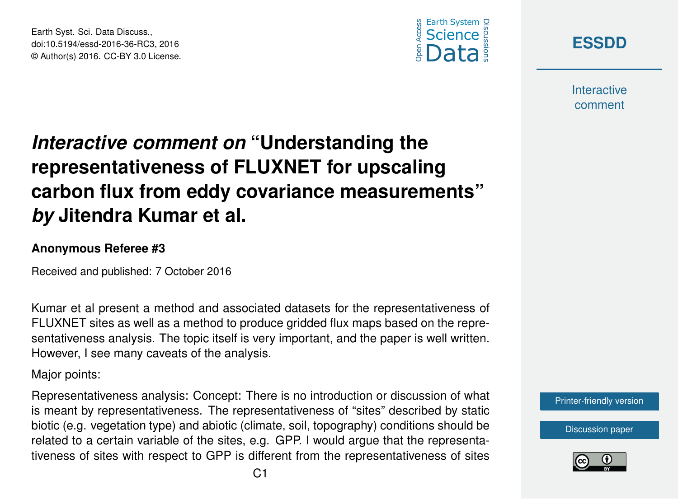





**Interactive** comment

## *Interactive comment on* **"Understanding the representativeness of FLUXNET for upscaling carbon flux from eddy covariance measurements"** *by* **Jitendra Kumar et al.**

## **Anonymous Referee #3**

Received and published: 7 October 2016

Kumar et al present a method and associated datasets for the representativeness of FLUXNET sites as well as a method to produce gridded flux maps based on the representativeness analysis. The topic itself is very important, and the paper is well written. However, I see many caveats of the analysis.

Major points:

Representativeness analysis: Concept: There is no introduction or discussion of what is meant by representativeness. The representativeness of "sites" described by static biotic (e.g. vegetation type) and abiotic (climate, soil, topography) conditions should be related to a certain variable of the sites, e.g. GPP. I would argue that the representativeness of sites with respect to GPP is different from the representativeness of sites



[Discussion paper](http://www.earth-syst-sci-data-discuss.net/essd-2016-36)

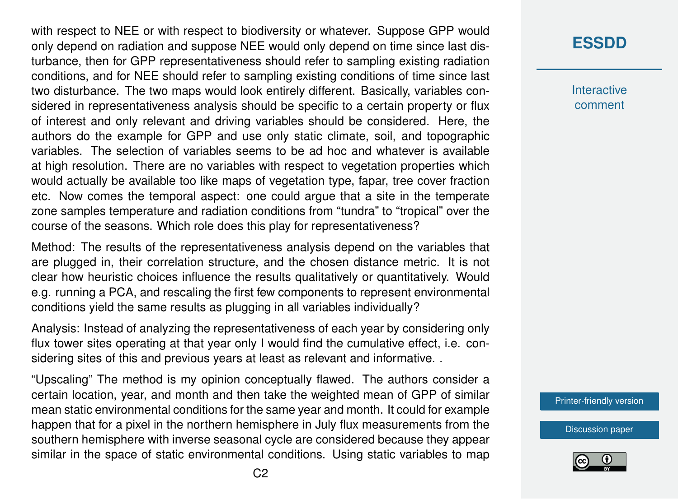with respect to NEE or with respect to biodiversity or whatever. Suppose GPP would only depend on radiation and suppose NEE would only depend on time since last disturbance, then for GPP representativeness should refer to sampling existing radiation conditions, and for NEE should refer to sampling existing conditions of time since last two disturbance. The two maps would look entirely different. Basically, variables considered in representativeness analysis should be specific to a certain property or flux of interest and only relevant and driving variables should be considered. Here, the authors do the example for GPP and use only static climate, soil, and topographic variables. The selection of variables seems to be ad hoc and whatever is available at high resolution. There are no variables with respect to vegetation properties which would actually be available too like maps of vegetation type, fapar, tree cover fraction etc. Now comes the temporal aspect: one could argue that a site in the temperate zone samples temperature and radiation conditions from "tundra" to "tropical" over the course of the seasons. Which role does this play for representativeness?

Method: The results of the representativeness analysis depend on the variables that are plugged in, their correlation structure, and the chosen distance metric. It is not clear how heuristic choices influence the results qualitatively or quantitatively. Would e.g. running a PCA, and rescaling the first few components to represent environmental conditions yield the same results as plugging in all variables individually?

Analysis: Instead of analyzing the representativeness of each year by considering only flux tower sites operating at that year only I would find the cumulative effect, i.e. considering sites of this and previous years at least as relevant and informative. .

"Upscaling" The method is my opinion conceptually flawed. The authors consider a certain location, year, and month and then take the weighted mean of GPP of similar mean static environmental conditions for the same year and month. It could for example happen that for a pixel in the northern hemisphere in July flux measurements from the southern hemisphere with inverse seasonal cycle are considered because they appear similar in the space of static environmental conditions. Using static variables to map

## **[ESSDD](http://www.earth-syst-sci-data-discuss.net/)**

**Interactive** comment

[Printer-friendly version](http://www.earth-syst-sci-data-discuss.net/essd-2016-36/essd-2016-36-RC3-print.pdf)

[Discussion paper](http://www.earth-syst-sci-data-discuss.net/essd-2016-36)